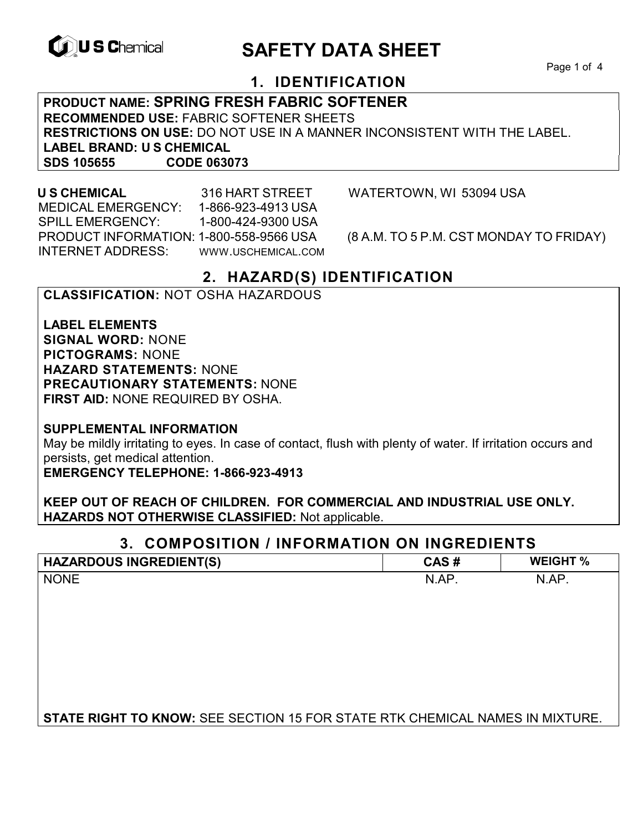

# **CONSCHIEF CONTROLS ARE SAFETY DATA SHEET**

Page 1 of 4

# **1. IDENTIFICATION**

**PRODUCT NAME: SPRING FRESH FABRIC SOFTENER RECOMMENDED USE:** FABRIC SOFTENER SHEETS **RESTRICTIONS ON USE:** DO NOT USE IN A MANNER INCONSISTENT WITH THE LABEL. **LABEL BRAND: U S CHEMICAL SDS 105655 CODE 063073**

 MEDICAL EMERGENCY: 1-866-923-4913 USA SPILL EMERGENCY: 1-800-424-9300 USA PRODUCT INFORMATION: 1-800-558-9566 USA (8 A.M. TO 5 P.M. CST MONDAY TO FRIDAY) INTERNET ADDRESS: WWW.USCHEMICAL.COM

**U S CHEMICAL** 316 HART STREET WATERTOWN, WI 53094 USA

### **2. HAZARD(S) IDENTIFICATION**

### **CLASSIFICATION:** NOT OSHA HAZARDOUS

**LABEL ELEMENTS SIGNAL WORD:** NONE **PICTOGRAMS:** NONE **HAZARD STATEMENTS:** NONE **PRECAUTIONARY STATEMENTS:** NONE **FIRST AID:** NONE REQUIRED BY OSHA.

**SUPPLEMENTAL INFORMATION** 

May be mildly irritating to eyes. In case of contact, flush with plenty of water. If irritation occurs and persists, get medical attention.

**EMERGENCY TELEPHONE: 1-866-923-4913** 

**KEEP OUT OF REACH OF CHILDREN. FOR COMMERCIAL AND INDUSTRIAL USE ONLY. HAZARDS NOT OTHERWISE CLASSIFIED:** Not applicable.

### **3. COMPOSITION / INFORMATION ON INGREDIENTS**

| <b>HAZARDOUS INGREDIENT(S)</b>                                                      | CAS#  | <b>WEIGHT %</b> |
|-------------------------------------------------------------------------------------|-------|-----------------|
| <b>NONE</b>                                                                         | N.AP. | N.AP.           |
|                                                                                     |       |                 |
|                                                                                     |       |                 |
|                                                                                     |       |                 |
|                                                                                     |       |                 |
|                                                                                     |       |                 |
|                                                                                     |       |                 |
|                                                                                     |       |                 |
| <b>STATE RIGHT TO KNOW: SEE SECTION 15 FOR STATE RTK CHEMICAL NAMES IN MIXTURE.</b> |       |                 |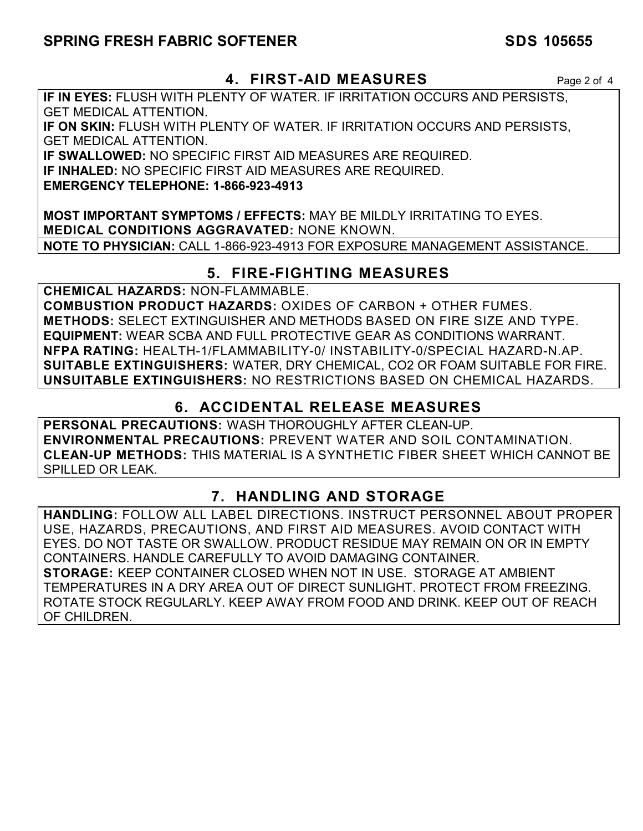### **SPRING FRESH FABRIC SOFTENER SDS 105655**

### **4. FIRST-AID MEASURES** Page 2 of 4

**IF IN EYES:** FLUSH WITH PLENTY OF WATER. IF IRRITATION OCCURS AND PERSISTS, GET MEDICAL ATTENTION.

**IF ON SKIN:** FLUSH WITH PLENTY OF WATER. IF IRRITATION OCCURS AND PERSISTS, GET MEDICAL ATTENTION.

**IF SWALLOWED:** NO SPECIFIC FIRST AID MEASURES ARE REQUIRED.

**IF INHALED:** NO SPECIFIC FIRST AID MEASURES ARE REQUIRED.

**EMERGENCY TELEPHONE: 1-866-923-4913** 

**MOST IMPORTANT SYMPTOMS / EFFECTS:** MAY BE MILDLY IRRITATING TO EYES. **MEDICAL CONDITIONS AGGRAVATED:** NONE KNOWN. **NOTE TO PHYSICIAN:** CALL 1-866-923-4913 FOR EXPOSURE MANAGEMENT ASSISTANCE.

# **5. FIRE-FIGHTING MEASURES**

**CHEMICAL HAZARDS:** NON-FLAMMABLE. **COMBUSTION PRODUCT HAZARDS:** OXIDES OF CARBON + OTHER FUMES. **METHODS:** SELECT EXTINGUISHER AND METHODS BASED ON FIRE SIZE AND TYPE. **EQUIPMENT:** WEAR SCBA AND FULL PROTECTIVE GEAR AS CONDITIONS WARRANT. **NFPA RATING:** HEALTH-1/FLAMMABILITY-0/ INSTABILITY-0/SPECIAL HAZARD-N.AP. **SUITABLE EXTINGUISHERS:** WATER, DRY CHEMICAL, CO2 OR FOAM SUITABLE FOR FIRE. **UNSUITABLE EXTINGUISHERS:** NO RESTRICTIONS BASED ON CHEMICAL HAZARDS.

# **6. ACCIDENTAL RELEASE MEASURES**

**PERSONAL PRECAUTIONS:** WASH THOROUGHLY AFTER CLEAN-UP. **ENVIRONMENTAL PRECAUTIONS:** PREVENT WATER AND SOIL CONTAMINATION. **CLEAN-UP METHODS:** THIS MATERIAL IS A SYNTHETIC FIBER SHEET WHICH CANNOT BE SPILLED OR LEAK.

# **7. HANDLING AND STORAGE**

**HANDLING:** FOLLOW ALL LABEL DIRECTIONS. INSTRUCT PERSONNEL ABOUT PROPER USE, HAZARDS, PRECAUTIONS, AND FIRST AID MEASURES. AVOID CONTACT WITH EYES. DO NOT TASTE OR SWALLOW. PRODUCT RESIDUE MAY REMAIN ON OR IN EMPTY CONTAINERS. HANDLE CAREFULLY TO AVOID DAMAGING CONTAINER. **STORAGE:** KEEP CONTAINER CLOSED WHEN NOT IN USE. STORAGE AT AMBIENT TEMPERATURES IN A DRY AREA OUT OF DIRECT SUNLIGHT. PROTECT FROM FREEZING. ROTATE STOCK REGULARLY. KEEP AWAY FROM FOOD AND DRINK. KEEP OUT OF REACH OF CHILDREN.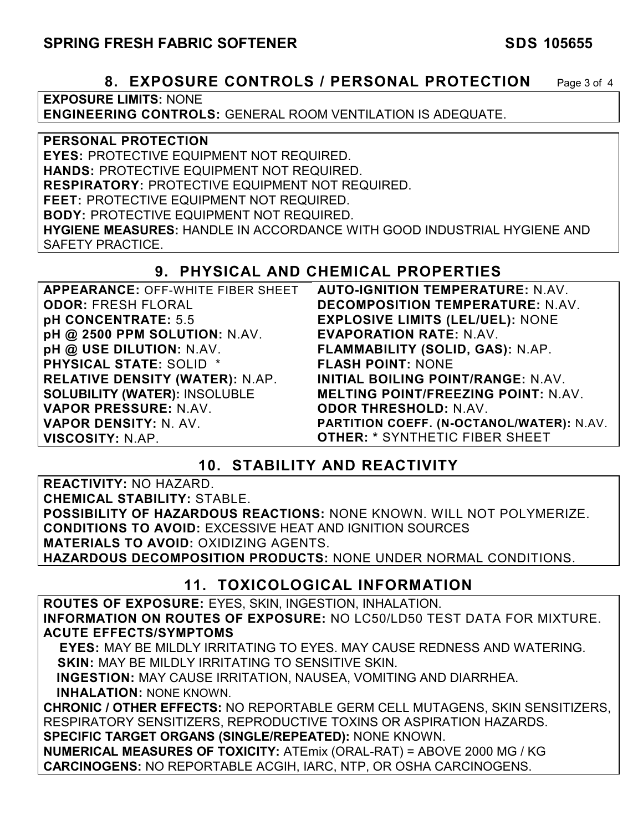### **8. EXPOSURE CONTROLS / PERSONAL PROTECTION** Page 3 of 4

**EXPOSURE LIMITS:** NONE **ENGINEERING CONTROLS:** GENERAL ROOM VENTILATION IS ADEQUATE.

**PERSONAL PROTECTION EYES:** PROTECTIVE EQUIPMENT NOT REQUIRED. **HANDS:** PROTECTIVE EQUIPMENT NOT REQUIRED. **RESPIRATORY:** PROTECTIVE EQUIPMENT NOT REQUIRED. **FEET:** PROTECTIVE EQUIPMENT NOT REQUIRED. **BODY:** PROTECTIVE EQUIPMENT NOT REQUIRED. **HYGIENE MEASURES:** HANDLE IN ACCORDANCE WITH GOOD INDUSTRIAL HYGIENE AND SAFETY PRACTICE.

### **9. PHYSICAL AND CHEMICAL PROPERTIES**

| <b>APPEARANCE: OFF-WHITE FIBER SHEET</b> | <b>AUTO-IGNITION TEMPERATURE: N.AV.</b>    |
|------------------------------------------|--------------------------------------------|
| <b>ODOR: FRESH FLORAL</b>                | <b>DECOMPOSITION TEMPERATURE: N.AV.</b>    |
| pH CONCENTRATE: 5.5                      | <b>EXPLOSIVE LIMITS (LEL/UEL): NONE</b>    |
| pH @ 2500 PPM SOLUTION: N.AV.            | <b>EVAPORATION RATE: N.AV.</b>             |
| pH @ USE DILUTION: N.AV.                 | FLAMMABILITY (SOLID, GAS): N.AP.           |
| <b>PHYSICAL STATE: SOLID *</b>           | <b>FLASH POINT: NONE</b>                   |
| <b>RELATIVE DENSITY (WATER): N.AP.</b>   | INITIAL BOILING POINT/RANGE: N.AV.         |
| <b>SOLUBILITY (WATER): INSOLUBLE</b>     | <b>MELTING POINT/FREEZING POINT: N.AV.</b> |
| VAPOR PRESSURE: N.AV.                    | <b>ODOR THRESHOLD: N.AV.</b>               |
| VAPOR DENSITY: N. AV.                    | PARTITION COEFF. (N-OCTANOL/WATER): N.AV.  |
| VISCOSITY: N.AP.                         | <b>OTHER: * SYNTHETIC FIBER SHEET</b>      |

### **10. STABILITY AND REACTIVITY**

**REACTIVITY:** NO HAZARD. **CHEMICAL STABILITY:** STABLE. **POSSIBILITY OF HAZARDOUS REACTIONS:** NONE KNOWN. WILL NOT POLYMERIZE. **CONDITIONS TO AVOID:** EXCESSIVE HEAT AND IGNITION SOURCES **MATERIALS TO AVOID:** OXIDIZING AGENTS. **HAZARDOUS DECOMPOSITION PRODUCTS:** NONE UNDER NORMAL CONDITIONS.

### **11. TOXICOLOGICAL INFORMATION**

**ROUTES OF EXPOSURE:** EYES, SKIN, INGESTION, INHALATION. **INFORMATION ON ROUTES OF EXPOSURE:** NO LC50/LD50 TEST DATA FOR MIXTURE. **ACUTE EFFECTS/SYMPTOMS**

 **EYES:** MAY BE MILDLY IRRITATING TO EYES. MAY CAUSE REDNESS AND WATERING. **SKIN:** MAY BE MILDLY IRRITATING TO SENSITIVE SKIN.

 **INGESTION:** MAY CAUSE IRRITATION, NAUSEA, VOMITING AND DIARRHEA. **INHALATION:** NONE KNOWN.

**CHRONIC / OTHER EFFECTS:** NO REPORTABLE GERM CELL MUTAGENS, SKIN SENSITIZERS, RESPIRATORY SENSITIZERS, REPRODUCTIVE TOXINS OR ASPIRATION HAZARDS. **SPECIFIC TARGET ORGANS (SINGLE/REPEATED):** NONE KNOWN.

**NUMERICAL MEASURES OF TOXICITY:** ATEmix (ORAL-RAT) = ABOVE 2000 MG / KG **CARCINOGENS:** NO REPORTABLE ACGIH, IARC, NTP, OR OSHA CARCINOGENS.